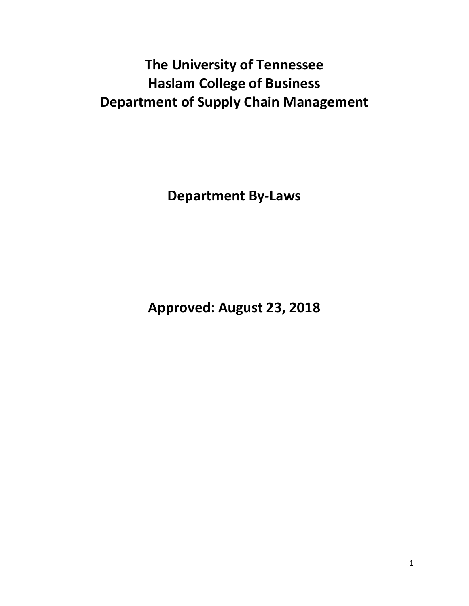# **The University of Tennessee Haslam College of Business Department of Supply Chain Management**

**Department By-Laws**

**Approved: August 23, 2018**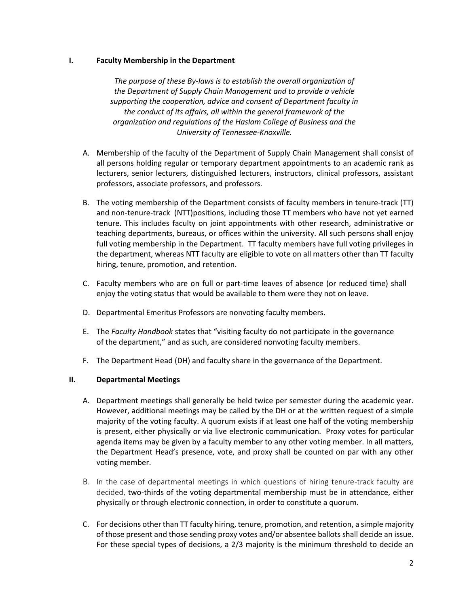#### **I. Faculty Membership in the Department**

*The purpose of these By-laws is to establish the overall organization of the Department of Supply Chain Management and to provide a vehicle supporting the cooperation, advice and consent of Department faculty in the conduct of its affairs, all within the general framework of the organization and regulations of the Haslam College of Business and the University of Tennessee-Knoxville.*

- A. Membership of the faculty of the Department of Supply Chain Management shall consist of all persons holding regular or temporary department appointments to an academic rank as lecturers, senior lecturers, distinguished lecturers, instructors, clinical professors, assistant professors, associate professors, and professors.
- B. The voting membership of the Department consists of faculty members in tenure-track (TT) and non-tenure-track (NTT)positions, including those TT members who have not yet earned tenure. This includes faculty on joint appointments with other research, administrative or teaching departments, bureaus, or offices within the university. All such persons shall enjoy full voting membership in the Department. TT faculty members have full voting privileges in the department, whereas NTT faculty are eligible to vote on all matters other than TT faculty hiring, tenure, promotion, and retention.
- C. Faculty members who are on full or part-time leaves of absence (or reduced time) shall enjoy the voting status that would be available to them were they not on leave.
- D. Departmental Emeritus Professors are nonvoting faculty members.
- E. The *Faculty Handbook* states that "visiting faculty do not participate in the governance of the department," and as such, are considered nonvoting faculty members.
- F. The Department Head (DH) and faculty share in the governance of the Department.

# **II. Departmental Meetings**

- A. Department meetings shall generally be held twice per semester during the academic year. However, additional meetings may be called by the DH or at the written request of a simple majority of the voting faculty. A quorum exists if at least one half of the voting membership is present, either physically or via live electronic communication. Proxy votes for particular agenda items may be given by a faculty member to any other voting member. In all matters, the Department Head's presence, vote, and proxy shall be counted on par with any other voting member.
- B. In the case of departmental meetings in which questions of hiring tenure-track faculty are decided, two-thirds of the voting departmental membership must be in attendance, either physically or through electronic connection, in order to constitute a quorum.
- C. For decisions other than TT faculty hiring, tenure, promotion, and retention, a simple majority of those present and those sending proxy votes and/or absentee ballots shall decide an issue. For these special types of decisions, a 2/3 majority is the minimum threshold to decide an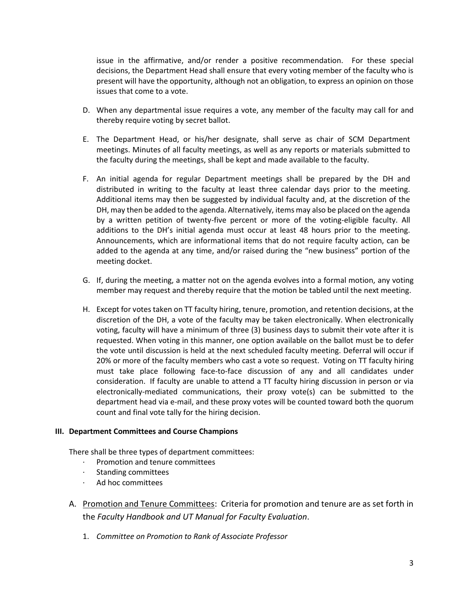issue in the affirmative, and/or render a positive recommendation. For these special decisions, the Department Head shall ensure that every voting member of the faculty who is present will have the opportunity, although not an obligation, to express an opinion on those issues that come to a vote.

- D. When any departmental issue requires a vote, any member of the faculty may call for and thereby require voting by secret ballot.
- E. The Department Head, or his/her designate, shall serve as chair of SCM Department meetings. Minutes of all faculty meetings, as well as any reports or materials submitted to the faculty during the meetings, shall be kept and made available to the faculty.
- F. An initial agenda for regular Department meetings shall be prepared by the DH and distributed in writing to the faculty at least three calendar days prior to the meeting. Additional items may then be suggested by individual faculty and, at the discretion of the DH, may then be added to the agenda. Alternatively, items may also be placed on the agenda by a written petition of twenty-five percent or more of the voting-eligible faculty. All additions to the DH's initial agenda must occur at least 48 hours prior to the meeting. Announcements, which are informational items that do not require faculty action, can be added to the agenda at any time, and/or raised during the "new business" portion of the meeting docket.
- G. If, during the meeting, a matter not on the agenda evolves into a formal motion, any voting member may request and thereby require that the motion be tabled until the next meeting.
- H. Except for votes taken on TT faculty hiring, tenure, promotion, and retention decisions, at the discretion of the DH, a vote of the faculty may be taken electronically. When electronically voting, faculty will have a minimum of three (3) business days to submit their vote after it is requested. When voting in this manner, one option available on the ballot must be to defer the vote until discussion is held at the next scheduled faculty meeting. Deferral will occur if 20% or more of the faculty members who cast a vote so request. Voting on TT faculty hiring must take place following face-to-face discussion of any and all candidates under consideration. If faculty are unable to attend a TT faculty hiring discussion in person or via electronically-mediated communications, their proxy vote(s) can be submitted to the department head via e-mail, and these proxy votes will be counted toward both the quorum count and final vote tally for the hiring decision.

#### **III. Department Committees and Course Champions**

There shall be three types of department committees:

- · Promotion and tenure committees
- · Standing committees
- · Ad hoc committees
- A. Promotion and Tenure Committees: Criteria for promotion and tenure are as set forth in the *Faculty Handbook and UT Manual for Faculty Evaluation*.
	- 1. *Committee on Promotion to Rank of Associate Professor*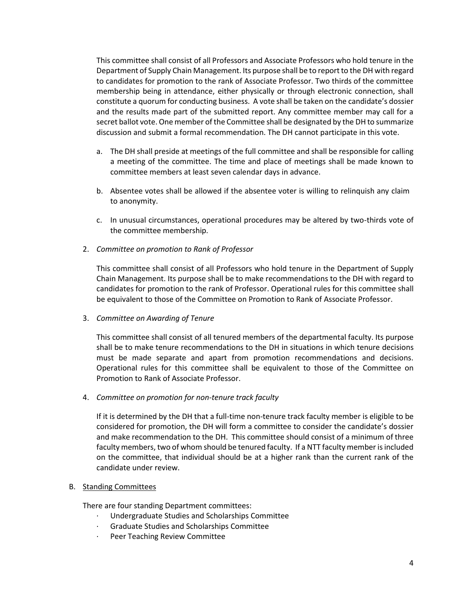This committee shall consist of all Professors and Associate Professors who hold tenure in the Department of Supply Chain Management. Its purpose shall be to report to the DH with regard to candidates for promotion to the rank of Associate Professor. Two thirds of the committee membership being in attendance, either physically or through electronic connection, shall constitute a quorum for conducting business. A vote shall be taken on the candidate's dossier and the results made part of the submitted report. Any committee member may call for a secret ballot vote. One member of the Committee shall be designated by the DH to summarize discussion and submit a formal recommendation. The DH cannot participate in this vote.

- a. The DH shall preside at meetings of the full committee and shall be responsible for calling a meeting of the committee. The time and place of meetings shall be made known to committee members at least seven calendar days in advance.
- b. Absentee votes shall be allowed if the absentee voter is willing to relinquish any claim to anonymity.
- c. In unusual circumstances, operational procedures may be altered by two-thirds vote of the committee membership.
- 2. *Committee on promotion to Rank of Professor*

This committee shall consist of all Professors who hold tenure in the Department of Supply Chain Management. Its purpose shall be to make recommendations to the DH with regard to candidates for promotion to the rank of Professor. Operational rules for this committee shall be equivalent to those of the Committee on Promotion to Rank of Associate Professor.

3. *Committee on Awarding of Tenure* 

This committee shall consist of all tenured members of the departmental faculty. Its purpose shall be to make tenure recommendations to the DH in situations in which tenure decisions must be made separate and apart from promotion recommendations and decisions. Operational rules for this committee shall be equivalent to those of the Committee on Promotion to Rank of Associate Professor.

4. *Committee on promotion for non-tenure track faculty*

If it is determined by the DH that a full-time non-tenure track faculty member is eligible to be considered for promotion, the DH will form a committee to consider the candidate's dossier and make recommendation to the DH. This committee should consist of a minimum of three faculty members, two of whom should be tenured faculty. If a NTT faculty member is included on the committee, that individual should be at a higher rank than the current rank of the candidate under review.

#### B. Standing Committees

There are four standing Department committees:

- Undergraduate Studies and Scholarships Committee
- · Graduate Studies and Scholarships Committee
- · Peer Teaching Review Committee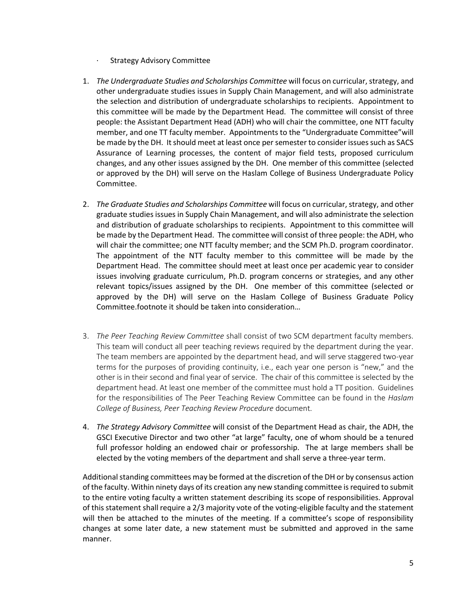- **Strategy Advisory Committee**
- 1. *The Undergraduate Studies and Scholarships Committee* will focus on curricular, strategy, and other undergraduate studies issues in Supply Chain Management, and will also administrate the selection and distribution of undergraduate scholarships to recipients. Appointment to this committee will be made by the Department Head. The committee will consist of three people: the Assistant Department Head (ADH) who will chair the committee, one NTT faculty member, and one TT faculty member. Appointments to the "Undergraduate Committee"will be made by the DH. It should meet at least once per semester to consider issues such as SACS Assurance of Learning processes, the content of major field tests, proposed curriculum changes, and any other issues assigned by the DH. One member of this committee (selected or approved by the DH) will serve on the Haslam College of Business Undergraduate Policy Committee.
- 2. *The Graduate Studies and Scholarships Committee* will focus on curricular, strategy, and other graduate studies issues in Supply Chain Management, and will also administrate the selection and distribution of graduate scholarships to recipients. Appointment to this committee will be made by the Department Head. The committee will consist of three people: the ADH, who will chair the committee; one NTT faculty member; and the SCM Ph.D. program coordinator. The appointment of the NTT faculty member to this committee will be made by the Department Head. The committee should meet at least once per academic year to consider issues involving graduate curriculum, Ph.D. program concerns or strategies, and any other relevant topics/issues assigned by the DH. One member of this committee (selected or approved by the DH) will serve on the Haslam College of Business Graduate Policy Committee.footnote it should be taken into consideration…
- 3. *The Peer Teaching Review Committee* shall consist of two SCM department faculty members. This team will conduct all peer teaching reviews required by the department during the year. The team members are appointed by the department head, and will serve staggered two-year terms for the purposes of providing continuity, i.e., each year one person is "new," and the other is in their second and final year of service. The chair of this committee is selected by the department head. At least one member of the committee must hold a TT position. Guidelines for the responsibilities of The Peer Teaching Review Committee can be found in the *Haslam College of Business, Peer Teaching Review Procedure* document.
- 4. *The Strategy Advisory Committee* will consist of the Department Head as chair, the ADH, the GSCI Executive Director and two other "at large" faculty, one of whom should be a tenured full professor holding an endowed chair or professorship. The at large members shall be elected by the voting members of the department and shall serve a three-year term.

Additional standing committees may be formed at the discretion of the DH or by consensus action of the faculty. Within ninety days of its creation any new standing committee is required to submit to the entire voting faculty a written statement describing its scope of responsibilities. Approval of this statement shall require a 2/3 majority vote of the voting-eligible faculty and the statement will then be attached to the minutes of the meeting. If a committee's scope of responsibility changes at some later date, a new statement must be submitted and approved in the same manner.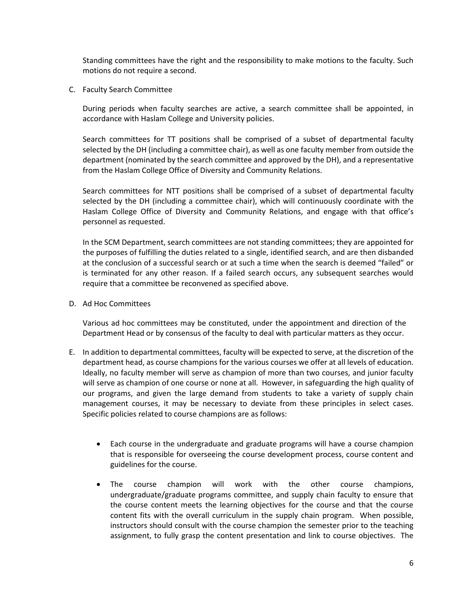Standing committees have the right and the responsibility to make motions to the faculty. Such motions do not require a second.

C. Faculty Search Committee

During periods when faculty searches are active, a search committee shall be appointed, in accordance with Haslam College and University policies.

Search committees for TT positions shall be comprised of a subset of departmental faculty selected by the DH (including a committee chair), as well as one faculty member from outside the department (nominated by the search committee and approved by the DH), and a representative from the Haslam College Office of Diversity and Community Relations.

Search committees for NTT positions shall be comprised of a subset of departmental faculty selected by the DH (including a committee chair), which will continuously coordinate with the Haslam College Office of Diversity and Community Relations, and engage with that office's personnel as requested.

In the SCM Department, search committees are not standing committees; they are appointed for the purposes of fulfilling the duties related to a single, identified search, and are then disbanded at the conclusion of a successful search or at such a time when the search is deemed "failed" or is terminated for any other reason. If a failed search occurs, any subsequent searches would require that a committee be reconvened as specified above.

D. Ad Hoc Committees

Various ad hoc committees may be constituted, under the appointment and direction of the Department Head or by consensus of the faculty to deal with particular matters as they occur.

- E. In addition to departmental committees, faculty will be expected to serve, at the discretion of the department head, as course champions for the various courses we offer at all levels of education. Ideally, no faculty member will serve as champion of more than two courses, and junior faculty will serve as champion of one course or none at all. However, in safeguarding the high quality of our programs, and given the large demand from students to take a variety of supply chain management courses, it may be necessary to deviate from these principles in select cases. Specific policies related to course champions are as follows:
	- Each course in the undergraduate and graduate programs will have a course champion that is responsible for overseeing the course development process, course content and guidelines for the course.
	- The course champion will work with the other course champions, undergraduate/graduate programs committee, and supply chain faculty to ensure that the course content meets the learning objectives for the course and that the course content fits with the overall curriculum in the supply chain program. When possible, instructors should consult with the course champion the semester prior to the teaching assignment, to fully grasp the content presentation and link to course objectives. The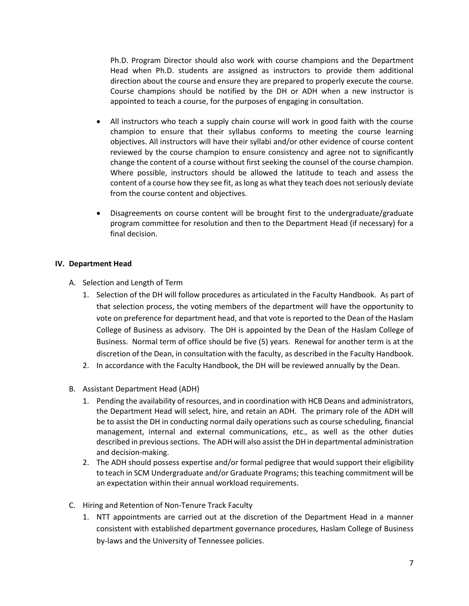Ph.D. Program Director should also work with course champions and the Department Head when Ph.D. students are assigned as instructors to provide them additional direction about the course and ensure they are prepared to properly execute the course. Course champions should be notified by the DH or ADH when a new instructor is appointed to teach a course, for the purposes of engaging in consultation.

- All instructors who teach a supply chain course will work in good faith with the course champion to ensure that their syllabus conforms to meeting the course learning objectives. All instructors will have their syllabi and/or other evidence of course content reviewed by the course champion to ensure consistency and agree not to significantly change the content of a course without first seeking the counsel of the course champion. Where possible, instructors should be allowed the latitude to teach and assess the content of a course how they see fit, as long as what they teach does not seriously deviate from the course content and objectives.
- Disagreements on course content will be brought first to the undergraduate/graduate program committee for resolution and then to the Department Head (if necessary) for a final decision.

### **IV. Department Head**

- A. Selection and Length of Term
	- 1. Selection of the DH will follow procedures as articulated in the Faculty Handbook. As part of that selection process, the voting members of the department will have the opportunity to vote on preference for department head, and that vote is reported to the Dean of the Haslam College of Business as advisory. The DH is appointed by the Dean of the Haslam College of Business. Normal term of office should be five (5) years. Renewal for another term is at the discretion of the Dean, in consultation with the faculty, as described in the Faculty Handbook.
	- 2. In accordance with the Faculty Handbook, the DH will be reviewed annually by the Dean.
- B. Assistant Department Head (ADH)
	- 1. Pending the availability of resources, and in coordination with HCB Deans and administrators, the Department Head will select, hire, and retain an ADH. The primary role of the ADH will be to assist the DH in conducting normal daily operations such as course scheduling, financial management, internal and external communications, etc., as well as the other duties described in previous sections. The ADH will also assist the DH in departmental administration and decision-making.
	- 2. The ADH should possess expertise and/or formal pedigree that would support their eligibility to teach in SCM Undergraduate and/or Graduate Programs; this teaching commitment will be an expectation within their annual workload requirements.
- C. Hiring and Retention of Non-Tenure Track Faculty
	- 1. NTT appointments are carried out at the discretion of the Department Head in a manner consistent with established department governance procedures, Haslam College of Business by-laws and the University of Tennessee policies.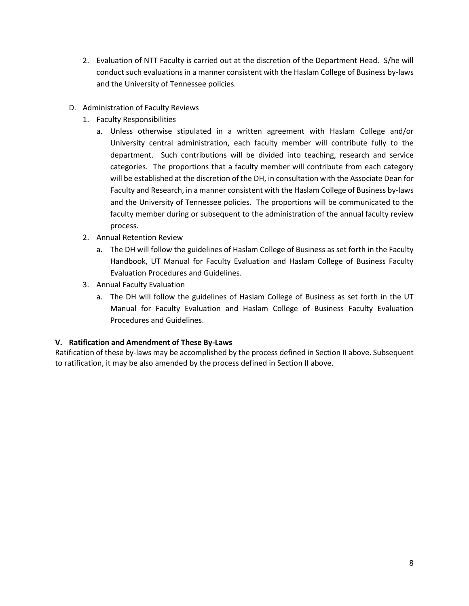- 2. Evaluation of NTT Faculty is carried out at the discretion of the Department Head. S/he will conduct such evaluations in a manner consistent with the Haslam College of Business by-laws and the University of Tennessee policies.
- D. Administration of Faculty Reviews
	- 1. Faculty Responsibilities
		- a. Unless otherwise stipulated in a written agreement with Haslam College and/or University central administration, each faculty member will contribute fully to the department. Such contributions will be divided into teaching, research and service categories. The proportions that a faculty member will contribute from each category will be established at the discretion of the DH, in consultation with the Associate Dean for Faculty and Research, in a manner consistent with the Haslam College of Business by-laws and the University of Tennessee policies. The proportions will be communicated to the faculty member during or subsequent to the administration of the annual faculty review process.
	- 2. Annual Retention Review
		- a. The DH will follow the guidelines of Haslam College of Business as set forth in the Faculty Handbook, UT Manual for Faculty Evaluation and Haslam College of Business Faculty Evaluation Procedures and Guidelines.
	- 3. Annual Faculty Evaluation
		- a. The DH will follow the guidelines of Haslam College of Business as set forth in the UT Manual for Faculty Evaluation and Haslam College of Business Faculty Evaluation Procedures and Guidelines.

# **V. Ratification and Amendment of These By-Laws**

Ratification of these by-laws may be accomplished by the process defined in Section II above. Subsequent to ratification, it may be also amended by the process defined in Section II above.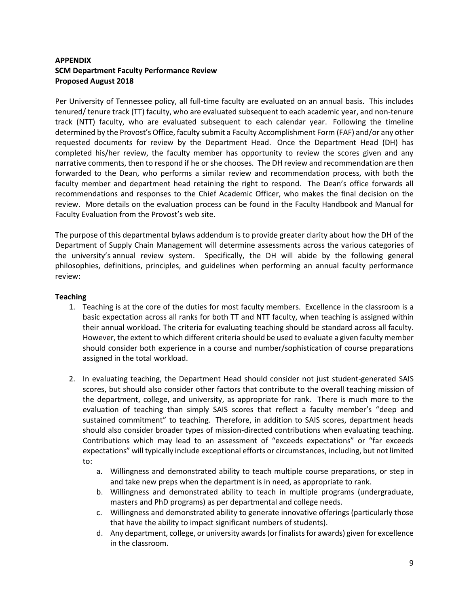# **APPENDIX SCM Department Faculty Performance Review Proposed August 2018**

Per University of Tennessee policy, all full-time faculty are evaluated on an annual basis. This includes tenured/ tenure track (TT) faculty, who are evaluated subsequent to each academic year, and non-tenure track (NTT) faculty, who are evaluated subsequent to each calendar year. Following the timeline determined by the Provost's Office, faculty submit a Faculty Accomplishment Form (FAF) and/or any other requested documents for review by the Department Head. Once the Department Head (DH) has completed his/her review, the faculty member has opportunity to review the scores given and any narrative comments, then to respond if he or she chooses. The DH review and recommendation are then forwarded to the Dean, who performs a similar review and recommendation process, with both the faculty member and department head retaining the right to respond. The Dean's office forwards all recommendations and responses to the Chief Academic Officer, who makes the final decision on the review. More details on the evaluation process can be found in the Faculty Handbook and Manual for Faculty Evaluation from the Provost's web site.

The purpose of this departmental bylaws addendum is to provide greater clarity about how the DH of the Department of Supply Chain Management will determine assessments across the various categories of the university's annual review system. Specifically, the DH will abide by the following general philosophies, definitions, principles, and guidelines when performing an annual faculty performance review:

### **Teaching**

- 1. Teaching is at the core of the duties for most faculty members. Excellence in the classroom is a basic expectation across all ranks for both TT and NTT faculty, when teaching is assigned within their annual workload. The criteria for evaluating teaching should be standard across all faculty. However, the extent to which different criteria should be used to evaluate a given faculty member should consider both experience in a course and number/sophistication of course preparations assigned in the total workload.
- 2. In evaluating teaching, the Department Head should consider not just student-generated SAIS scores, but should also consider other factors that contribute to the overall teaching mission of the department, college, and university, as appropriate for rank. There is much more to the evaluation of teaching than simply SAIS scores that reflect a faculty member's "deep and sustained commitment" to teaching. Therefore, in addition to SAIS scores, department heads should also consider broader types of mission-directed contributions when evaluating teaching. Contributions which may lead to an assessment of "exceeds expectations" or "far exceeds expectations" will typically include exceptional efforts or circumstances, including, but not limited to:
	- a. Willingness and demonstrated ability to teach multiple course preparations, or step in and take new preps when the department is in need, as appropriate to rank.
	- b. Willingness and demonstrated ability to teach in multiple programs (undergraduate, masters and PhD programs) as per departmental and college needs.
	- c. Willingness and demonstrated ability to generate innovative offerings (particularly those that have the ability to impact significant numbers of students).
	- d. Any department, college, or university awards (or finalists for awards) given for excellence in the classroom.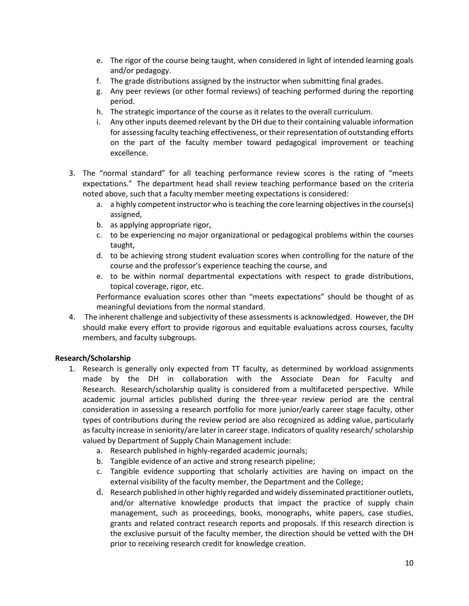- e. The rigor of the course being taught, when considered in light of intended learning goals and/or pedagogy.
- f. The grade distributions assigned by the instructor when submitting final grades.
- g. Any peer reviews (or other formal reviews) of teaching performed during the reporting period.
- h. The strategic importance of the course as it relates to the overall curriculum.
- i. Any other inputs deemed relevant by the DH due to their containing valuable information for assessing faculty teaching effectiveness, or their representation of outstanding efforts on the part of the faculty member toward pedagogical improvement or teaching excellence.
- 3. The "normal standard" for all teaching performance review scores is the rating of "meets expectations." The department head shall review teaching performance based on the criteria noted above, such that a faculty member meeting expectations is considered:
	- a. a highly competent instructor who is teaching the core learning objectives in the course(s) assigned,
	- b. as applying appropriate rigor,
	- c. to be experiencing no major organizational or pedagogical problems within the courses taught,
	- d. to be achieving strong student evaluation scores when controlling for the nature of the course and the professor's experience teaching the course, and
	- e. to be within normal departmental expectations with respect to grade distributions, topical coverage, rigor, etc.

Performance evaluation scores other than "meets expectations" should be thought of as meaningful deviations from the normal standard.

4. The inherent challenge and subjectivity of these assessments is acknowledged. However, the DH should make every effort to provide rigorous and equitable evaluations across courses, faculty members, and faculty subgroups.

# **Research/Scholarship**

- 1. Research is generally only expected from TT faculty, as determined by workload assignments made by the DH in collaboration with the Associate Dean for Faculty and Research. Research/scholarship quality is considered from a multifaceted perspective. While academic journal articles published during the three-year review period are the central consideration in assessing a research portfolio for more junior/early career stage faculty, other types of contributions during the review period are also recognized as adding value, particularly as faculty increase in seniority/are later in career stage. Indicators of quality research/ scholarship valued by Department of Supply Chain Management include:
	- a. Research published in highly-regarded academic journals;
	- b. Tangible evidence of an active and strong research pipeline;
	- c. Tangible evidence supporting that scholarly activities are having on impact on the external visibility of the faculty member, the Department and the College;
	- d. Research published in other highly regarded and widely disseminated practitioner outlets, and/or alternative knowledge products that impact the practice of supply chain management, such as proceedings, books, monographs, white papers, case studies, grants and related contract research reports and proposals. If this research direction is the exclusive pursuit of the faculty member, the direction should be vetted with the DH prior to receiving research credit for knowledge creation.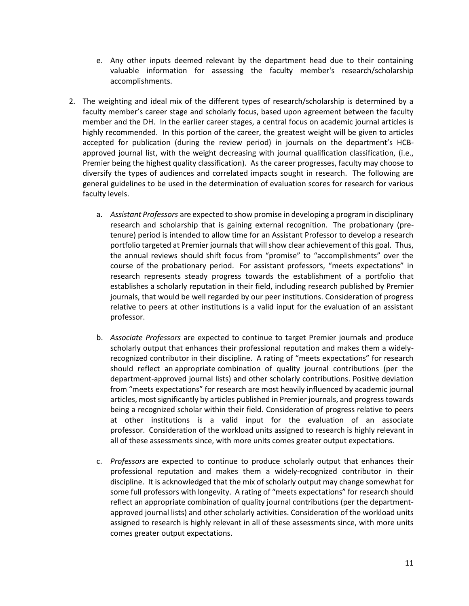- e. Any other inputs deemed relevant by the department head due to their containing valuable information for assessing the faculty member's research/scholarship accomplishments.
- 2. The weighting and ideal mix of the different types of research/scholarship is determined by a faculty member's career stage and scholarly focus, based upon agreement between the faculty member and the DH. In the earlier career stages, a central focus on academic journal articles is highly recommended. In this portion of the career, the greatest weight will be given to articles accepted for publication (during the review period) in journals on the department's HCBapproved journal list, with the weight decreasing with journal qualification classification, (i.e., Premier being the highest quality classification). As the career progresses, faculty may choose to diversify the types of audiences and correlated impacts sought in research. The following are general guidelines to be used in the determination of evaluation scores for research for various faculty levels.
	- a. *Assistant Professors* are expected to show promise in developing a program in disciplinary research and scholarship that is gaining external recognition. The probationary (pretenure) period is intended to allow time for an Assistant Professor to develop a research portfolio targeted at Premier journals that will show clear achievement of this goal. Thus, the annual reviews should shift focus from "promise" to "accomplishments" over the course of the probationary period. For assistant professors, "meets expectations" in research represents steady progress towards the establishment of a portfolio that establishes a scholarly reputation in their field, including research published by Premier journals, that would be well regarded by our peer institutions. Consideration of progress relative to peers at other institutions is a valid input for the evaluation of an assistant professor.
	- b. *Associate Professors* are expected to continue to target Premier journals and produce scholarly output that enhances their professional reputation and makes them a widelyrecognized contributor in their discipline. A rating of "meets expectations" for research should reflect an appropriate combination of quality journal contributions (per the department-approved journal lists) and other scholarly contributions. Positive deviation from "meets expectations" for research are most heavily influenced by academic journal articles, most significantly by articles published in Premier journals, and progress towards being a recognized scholar within their field. Consideration of progress relative to peers at other institutions is a valid input for the evaluation of an associate professor. Consideration of the workload units assigned to research is highly relevant in all of these assessments since, with more units comes greater output expectations.
	- c. *Professors* are expected to continue to produce scholarly output that enhances their professional reputation and makes them a widely-recognized contributor in their discipline. It is acknowledged that the mix of scholarly output may change somewhat for some full professors with longevity. A rating of "meets expectations" for research should reflect an appropriate combination of quality journal contributions (per the departmentapproved journal lists) and other scholarly activities. Consideration of the workload units assigned to research is highly relevant in all of these assessments since, with more units comes greater output expectations.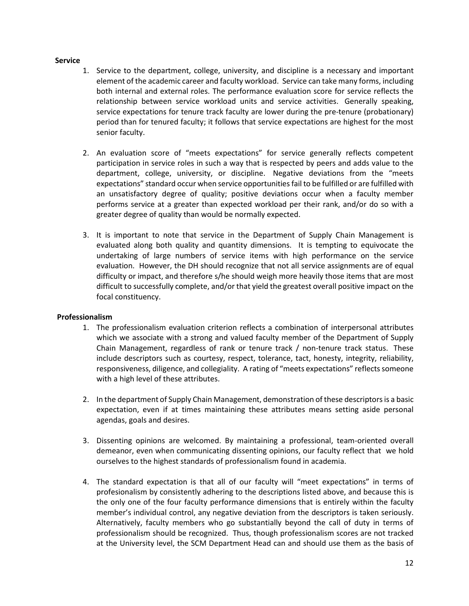#### **Service**

- 1. Service to the department, college, university, and discipline is a necessary and important element of the academic career and faculty workload. Service can take many forms, including both internal and external roles. The performance evaluation score for service reflects the relationship between service workload units and service activities. Generally speaking, service expectations for tenure track faculty are lower during the pre-tenure (probationary) period than for tenured faculty; it follows that service expectations are highest for the most senior faculty.
- 2. An evaluation score of "meets expectations" for service generally reflects competent participation in service roles in such a way that is respected by peers and adds value to the department, college, university, or discipline. Negative deviations from the "meets expectations" standard occur when service opportunitiesfail to be fulfilled or are fulfilled with an unsatisfactory degree of quality; positive deviations occur when a faculty member performs service at a greater than expected workload per their rank, and/or do so with a greater degree of quality than would be normally expected.
- 3. It is important to note that service in the Department of Supply Chain Management is evaluated along both quality and quantity dimensions. It is tempting to equivocate the undertaking of large numbers of service items with high performance on the service evaluation. However, the DH should recognize that not all service assignments are of equal difficulty or impact, and therefore s/he should weigh more heavily those items that are most difficult to successfully complete, and/or that yield the greatest overall positive impact on the focal constituency.

#### **Professionalism**

- 1. The professionalism evaluation criterion reflects a combination of interpersonal attributes which we associate with a strong and valued faculty member of the Department of Supply Chain Management, regardless of rank or tenure track / non-tenure track status. These include descriptors such as courtesy, respect, tolerance, tact, honesty, integrity, reliability, responsiveness, diligence, and collegiality. A rating of "meets expectations" reflects someone with a high level of these attributes.
- 2. In the department of Supply Chain Management, demonstration of these descriptors is a basic expectation, even if at times maintaining these attributes means setting aside personal agendas, goals and desires.
- 3. Dissenting opinions are welcomed. By maintaining a professional, team-oriented overall demeanor, even when communicating dissenting opinions, our faculty reflect that we hold ourselves to the highest standards of professionalism found in academia.
- 4. The standard expectation is that all of our faculty will "meet expectations" in terms of profesionalism by consistently adhering to the descriptions listed above, and because this is the only one of the four faculty performance dimensions that is entirely within the faculty member's individual control, any negative deviation from the descriptors is taken seriously. Alternatively, faculty members who go substantially beyond the call of duty in terms of professionalism should be recognized. Thus, though professionalism scores are not tracked at the University level, the SCM Department Head can and should use them as the basis of